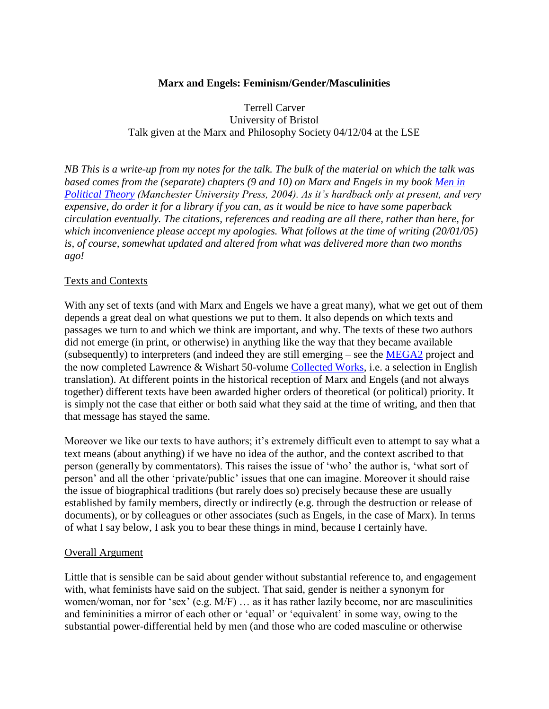# **Marx and Engels: Feminism/Gender/Masculinities**

Terrell Carver University of Bristol Talk given at the Marx and Philosophy Society 04/12/04 at the LSE

*NB This is a write-up from my notes for the talk. The bulk of the material on which the talk was based comes from the (separate) chapters (9 and 10) on Marx and Engels in my book [Men in](#page-4-0)  [Political Theory](#page-4-0) (Manchester University Press, 2004). As it's hardback only at present, and very expensive, do order it for a library if you can, as it would be nice to have some paperback circulation eventually. The citations, references and reading are all there, rather than here, for which inconvenience please accept my apologies. What follows at the time of writing (20/01/05) is, of course, somewhat updated and altered from what was delivered more than two months ago!*

### Texts and Contexts

With any set of texts (and with Marx and Engels we have a great many), what we get out of them depends a great deal on what questions we put to them. It also depends on which texts and passages we turn to and which we think are important, and why. The texts of these two authors did not emerge (in print, or otherwise) in anything like the way that they became available (subsequently) to interpreters (and indeed they are still emerging – see the [MEGA2](http://www.bbaw.de/forschung/mega/pub.html) project and the now completed Lawrence & Wishart 50-volume [Collected Works,](http://www.l-w-bks.co.uk/books/archive/marx_collected.html) i.e. a selection in English translation). At different points in the historical reception of Marx and Engels (and not always together) different texts have been awarded higher orders of theoretical (or political) priority. It is simply not the case that either or both said what they said at the time of writing, and then that that message has stayed the same.

Moreover we like our texts to have authors; it's extremely difficult even to attempt to say what a text means (about anything) if we have no idea of the author, and the context ascribed to that person (generally by commentators). This raises the issue of 'who' the author is, 'what sort of person' and all the other 'private/public' issues that one can imagine. Moreover it should raise the issue of biographical traditions (but rarely does so) precisely because these are usually established by family members, directly or indirectly (e.g. through the destruction or release of documents), or by colleagues or other associates (such as Engels, in the case of Marx). In terms of what I say below, I ask you to bear these things in mind, because I certainly have.

### Overall Argument

Little that is sensible can be said about gender without substantial reference to, and engagement with, what feminists have said on the subject. That said, gender is neither a synonym for women/woman, nor for 'sex' (e.g. M/F) … as it has rather lazily become, nor are masculinities and femininities a mirror of each other or 'equal' or 'equivalent' in some way, owing to the substantial power-differential held by men (and those who are coded masculine or otherwise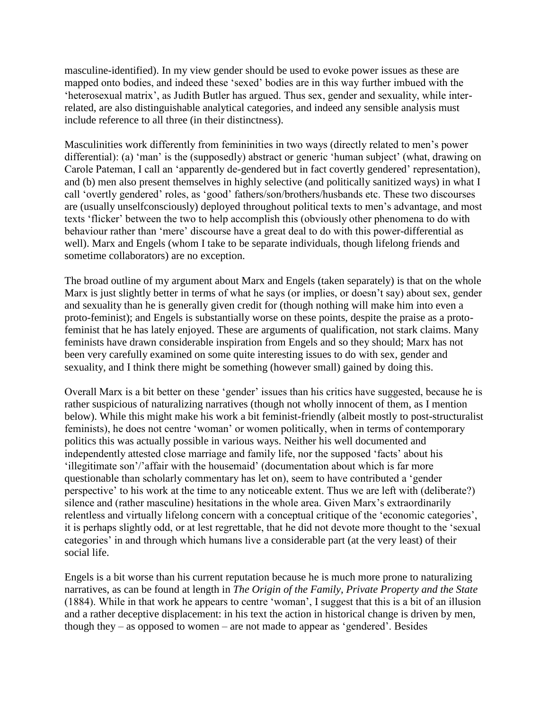masculine-identified). In my view gender should be used to evoke power issues as these are mapped onto bodies, and indeed these 'sexed' bodies are in this way further imbued with the 'heterosexual matrix', as Judith Butler has argued. Thus sex, gender and sexuality, while interrelated, are also distinguishable analytical categories, and indeed any sensible analysis must include reference to all three (in their distinctness).

Masculinities work differently from femininities in two ways (directly related to men's power differential): (a) 'man' is the (supposedly) abstract or generic 'human subject' (what, drawing on Carole Pateman, I call an 'apparently de-gendered but in fact covertly gendered' representation), and (b) men also present themselves in highly selective (and politically sanitized ways) in what I call 'overtly gendered' roles, as 'good' fathers/son/brothers/husbands etc. These two discourses are (usually unselfconsciously) deployed throughout political texts to men's advantage, and most texts 'flicker' between the two to help accomplish this (obviously other phenomena to do with behaviour rather than 'mere' discourse have a great deal to do with this power-differential as well). Marx and Engels (whom I take to be separate individuals, though lifelong friends and sometime collaborators) are no exception.

The broad outline of my argument about Marx and Engels (taken separately) is that on the whole Marx is just slightly better in terms of what he says (or implies, or doesn't say) about sex, gender and sexuality than he is generally given credit for (though nothing will make him into even a proto-feminist); and Engels is substantially worse on these points, despite the praise as a protofeminist that he has lately enjoyed. These are arguments of qualification, not stark claims. Many feminists have drawn considerable inspiration from Engels and so they should; Marx has not been very carefully examined on some quite interesting issues to do with sex, gender and sexuality, and I think there might be something (however small) gained by doing this.

Overall Marx is a bit better on these 'gender' issues than his critics have suggested, because he is rather suspicious of naturalizing narratives (though not wholly innocent of them, as I mention below). While this might make his work a bit feminist-friendly (albeit mostly to post-structuralist feminists), he does not centre 'woman' or women politically, when in terms of contemporary politics this was actually possible in various ways. Neither his well documented and independently attested close marriage and family life, nor the supposed 'facts' about his 'illegitimate son'/'affair with the housemaid' (documentation about which is far more questionable than scholarly commentary has let on), seem to have contributed a 'gender perspective' to his work at the time to any noticeable extent. Thus we are left with (deliberate?) silence and (rather masculine) hesitations in the whole area. Given Marx's extraordinarily relentless and virtually lifelong concern with a conceptual critique of the 'economic categories', it is perhaps slightly odd, or at lest regrettable, that he did not devote more thought to the 'sexual categories' in and through which humans live a considerable part (at the very least) of their social life.

Engels is a bit worse than his current reputation because he is much more prone to naturalizing narratives, as can be found at length in *The Origin of the Family, Private Property and the State* (1884). While in that work he appears to centre 'woman', I suggest that this is a bit of an illusion and a rather deceptive displacement: in his text the action in historical change is driven by men, though they – as opposed to women – are not made to appear as 'gendered'. Besides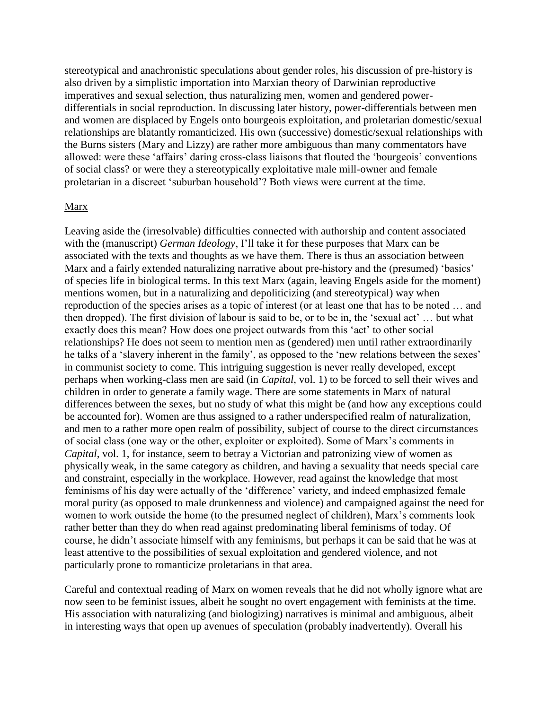stereotypical and anachronistic speculations about gender roles, his discussion of pre-history is also driven by a simplistic importation into Marxian theory of Darwinian reproductive imperatives and sexual selection, thus naturalizing men, women and gendered powerdifferentials in social reproduction. In discussing later history, power-differentials between men and women are displaced by Engels onto bourgeois exploitation, and proletarian domestic/sexual relationships are blatantly romanticized. His own (successive) domestic/sexual relationships with the Burns sisters (Mary and Lizzy) are rather more ambiguous than many commentators have allowed: were these 'affairs' daring cross-class liaisons that flouted the 'bourgeois' conventions of social class? or were they a stereotypically exploitative male mill-owner and female proletarian in a discreet 'suburban household'? Both views were current at the time.

#### Marx

Leaving aside the (irresolvable) difficulties connected with authorship and content associated with the (manuscript) *German Ideology*, I'll take it for these purposes that Marx can be associated with the texts and thoughts as we have them. There is thus an association between Marx and a fairly extended naturalizing narrative about pre-history and the (presumed) 'basics' of species life in biological terms. In this text Marx (again, leaving Engels aside for the moment) mentions women, but in a naturalizing and depoliticizing (and stereotypical) way when reproduction of the species arises as a topic of interest (or at least one that has to be noted … and then dropped). The first division of labour is said to be, or to be in, the 'sexual act' … but what exactly does this mean? How does one project outwards from this 'act' to other social relationships? He does not seem to mention men as (gendered) men until rather extraordinarily he talks of a 'slavery inherent in the family', as opposed to the 'new relations between the sexes' in communist society to come. This intriguing suggestion is never really developed, except perhaps when working-class men are said (in *Capital*, vol. 1) to be forced to sell their wives and children in order to generate a family wage. There are some statements in Marx of natural differences between the sexes, but no study of what this might be (and how any exceptions could be accounted for). Women are thus assigned to a rather underspecified realm of naturalization, and men to a rather more open realm of possibility, subject of course to the direct circumstances of social class (one way or the other, exploiter or exploited). Some of Marx's comments in *Capital*, vol. 1, for instance, seem to betray a Victorian and patronizing view of women as physically weak, in the same category as children, and having a sexuality that needs special care and constraint, especially in the workplace. However, read against the knowledge that most feminisms of his day were actually of the 'difference' variety, and indeed emphasized female moral purity (as opposed to male drunkenness and violence) and campaigned against the need for women to work outside the home (to the presumed neglect of children), Marx's comments look rather better than they do when read against predominating liberal feminisms of today. Of course, he didn't associate himself with any feminisms, but perhaps it can be said that he was at least attentive to the possibilities of sexual exploitation and gendered violence, and not particularly prone to romanticize proletarians in that area.

Careful and contextual reading of Marx on women reveals that he did not wholly ignore what are now seen to be feminist issues, albeit he sought no overt engagement with feminists at the time. His association with naturalizing (and biologizing) narratives is minimal and ambiguous, albeit in interesting ways that open up avenues of speculation (probably inadvertently). Overall his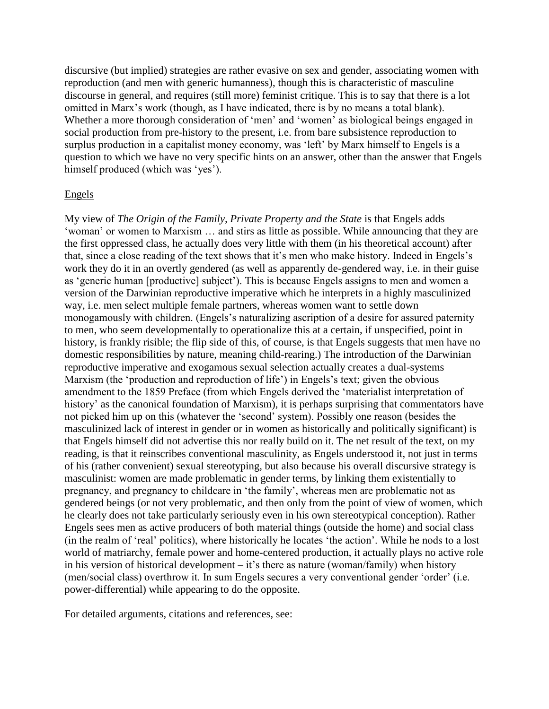discursive (but implied) strategies are rather evasive on sex and gender, associating women with reproduction (and men with generic humanness), though this is characteristic of masculine discourse in general, and requires (still more) feminist critique. This is to say that there is a lot omitted in Marx's work (though, as I have indicated, there is by no means a total blank). Whether a more thorough consideration of 'men' and 'women' as biological beings engaged in social production from pre-history to the present, i.e. from bare subsistence reproduction to surplus production in a capitalist money economy, was 'left' by Marx himself to Engels is a question to which we have no very specific hints on an answer, other than the answer that Engels himself produced (which was 'yes').

#### Engels

My view of *The Origin of the Family, Private Property and the State* is that Engels adds 'woman' or women to Marxism … and stirs as little as possible. While announcing that they are the first oppressed class, he actually does very little with them (in his theoretical account) after that, since a close reading of the text shows that it's men who make history. Indeed in Engels's work they do it in an overtly gendered (as well as apparently de-gendered way, i.e. in their guise as 'generic human [productive] subject'). This is because Engels assigns to men and women a version of the Darwinian reproductive imperative which he interprets in a highly masculinized way, i.e. men select multiple female partners, whereas women want to settle down monogamously with children. (Engels's naturalizing ascription of a desire for assured paternity to men, who seem developmentally to operationalize this at a certain, if unspecified, point in history, is frankly risible; the flip side of this, of course, is that Engels suggests that men have no domestic responsibilities by nature, meaning child-rearing.) The introduction of the Darwinian reproductive imperative and exogamous sexual selection actually creates a dual-systems Marxism (the 'production and reproduction of life') in Engels's text; given the obvious amendment to the 1859 Preface (from which Engels derived the 'materialist interpretation of history' as the canonical foundation of Marxism), it is perhaps surprising that commentators have not picked him up on this (whatever the 'second' system). Possibly one reason (besides the masculinized lack of interest in gender or in women as historically and politically significant) is that Engels himself did not advertise this nor really build on it. The net result of the text, on my reading, is that it reinscribes conventional masculinity, as Engels understood it, not just in terms of his (rather convenient) sexual stereotyping, but also because his overall discursive strategy is masculinist: women are made problematic in gender terms, by linking them existentially to pregnancy, and pregnancy to childcare in 'the family', whereas men are problematic not as gendered beings (or not very problematic, and then only from the point of view of women, which he clearly does not take particularly seriously even in his own stereotypical conception). Rather Engels sees men as active producers of both material things (outside the home) and social class (in the realm of 'real' politics), where historically he locates 'the action'. While he nods to a lost world of matriarchy, female power and home-centered production, it actually plays no active role in his version of historical development – it's there as nature (woman/family) when history (men/social class) overthrow it. In sum Engels secures a very conventional gender 'order' (i.e. power-differential) while appearing to do the opposite.

For detailed arguments, citations and references, see: